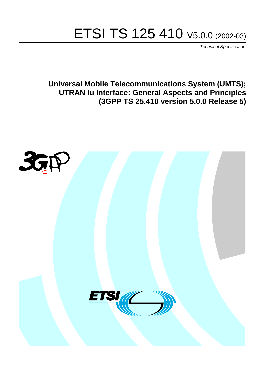# ETSI TS 125 410 V5.0.0 (2002-03)

Technical Specification

**Universal Mobile Telecommunications System (UMTS); UTRAN Iu Interface: General Aspects and Principles (3GPP TS 25.410 version 5.0.0 Release 5)**

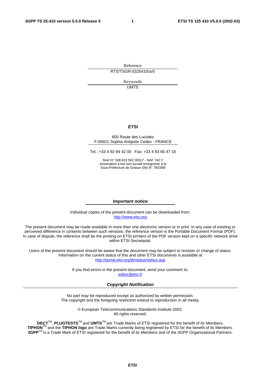Reference RTS/TSGR-0325410Uv5

> Keywords UMTS

#### **ETSI**

#### 650 Route des Lucioles F-06921 Sophia Antipolis Cedex - FRANCE

Tel.: +33 4 92 94 42 00 Fax: +33 4 93 65 47 16

Siret N° 348 623 562 00017 - NAF 742 C Association à but non lucratif enregistrée à la Sous-Préfecture de Grasse (06) N° 7803/88

#### **Important notice**

Individual copies of the present document can be downloaded from: [http://www.etsi.org](http://www.etsi.org/)

The present document may be made available in more than one electronic version or in print. In any case of existing or perceived difference in contents between such versions, the reference version is the Portable Document Format (PDF). In case of dispute, the reference shall be the printing on ETSI printers of the PDF version kept on a specific network drive within ETSI Secretariat.

Users of the present document should be aware that the document may be subject to revision or change of status. Information on the current status of this and other ETSI documents is available at <http://portal.etsi.org/tb/status/status.asp>

> If you find errors in the present document, send your comment to: [editor@etsi.fr](mailto:editor@etsi.fr)

#### **Copyright Notification**

No part may be reproduced except as authorized by written permission. The copyright and the foregoing restriction extend to reproduction in all media.

> © European Telecommunications Standards Institute 2002. All rights reserved.

**DECT**TM, **PLUGTESTS**TM and **UMTS**TM are Trade Marks of ETSI registered for the benefit of its Members. **TIPHON**TM and the **TIPHON logo** are Trade Marks currently being registered by ETSI for the benefit of its Members. **3GPP**TM is a Trade Mark of ETSI registered for the benefit of its Members and of the 3GPP Organizational Partners.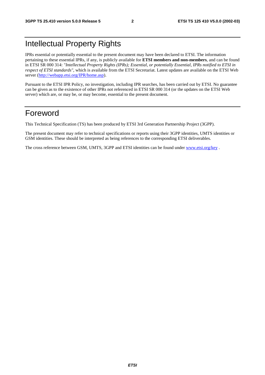# Intellectual Property Rights

IPRs essential or potentially essential to the present document may have been declared to ETSI. The information pertaining to these essential IPRs, if any, is publicly available for **ETSI members and non-members**, and can be found in ETSI SR 000 314: *"Intellectual Property Rights (IPRs); Essential, or potentially Essential, IPRs notified to ETSI in respect of ETSI standards"*, which is available from the ETSI Secretariat. Latest updates are available on the ETSI Web server ([http://webapp.etsi.org/IPR/home.asp\)](http://webapp.etsi.org/IPR/home.asp).

Pursuant to the ETSI IPR Policy, no investigation, including IPR searches, has been carried out by ETSI. No guarantee can be given as to the existence of other IPRs not referenced in ETSI SR 000 314 (or the updates on the ETSI Web server) which are, or may be, or may become, essential to the present document.

# Foreword

This Technical Specification (TS) has been produced by ETSI 3rd Generation Partnership Project (3GPP).

The present document may refer to technical specifications or reports using their 3GPP identities, UMTS identities or GSM identities. These should be interpreted as being references to the corresponding ETSI deliverables.

The cross reference between GSM, UMTS, 3GPP and ETSI identities can be found under [www.etsi.org/key](http://www.etsi.org/key) .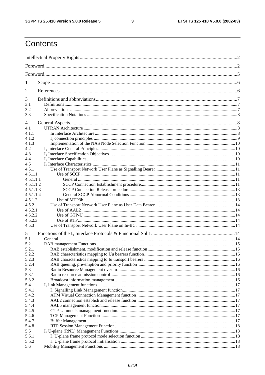$\mathbf{3}$ 

# Contents

| 1            |  |  |  |  |  |  |  |  |  |
|--------------|--|--|--|--|--|--|--|--|--|
| 2            |  |  |  |  |  |  |  |  |  |
| 3            |  |  |  |  |  |  |  |  |  |
| 3.1          |  |  |  |  |  |  |  |  |  |
| 3.2<br>3.3   |  |  |  |  |  |  |  |  |  |
|              |  |  |  |  |  |  |  |  |  |
| 4<br>4.1     |  |  |  |  |  |  |  |  |  |
| 4.1.1        |  |  |  |  |  |  |  |  |  |
| 4.1.2        |  |  |  |  |  |  |  |  |  |
| 4.1.3        |  |  |  |  |  |  |  |  |  |
| 4.2          |  |  |  |  |  |  |  |  |  |
| 4.3          |  |  |  |  |  |  |  |  |  |
| 4.4          |  |  |  |  |  |  |  |  |  |
| 4.5          |  |  |  |  |  |  |  |  |  |
| 4.5.1        |  |  |  |  |  |  |  |  |  |
| 4.5.1.1      |  |  |  |  |  |  |  |  |  |
| 4.5.1.1.1    |  |  |  |  |  |  |  |  |  |
| 4.5.1.1.2    |  |  |  |  |  |  |  |  |  |
| 4.5.1.1.3    |  |  |  |  |  |  |  |  |  |
| 4.5.1.1.4    |  |  |  |  |  |  |  |  |  |
| 4.5.1.2      |  |  |  |  |  |  |  |  |  |
| 4.5.2        |  |  |  |  |  |  |  |  |  |
| 4.5.2.1      |  |  |  |  |  |  |  |  |  |
| 4.5.2.2      |  |  |  |  |  |  |  |  |  |
| 4.5.2.3      |  |  |  |  |  |  |  |  |  |
| 4.5.3        |  |  |  |  |  |  |  |  |  |
| 5            |  |  |  |  |  |  |  |  |  |
| 5.1          |  |  |  |  |  |  |  |  |  |
| 5.2          |  |  |  |  |  |  |  |  |  |
| 5.2.1        |  |  |  |  |  |  |  |  |  |
| 5.2.2        |  |  |  |  |  |  |  |  |  |
| 5.2.3        |  |  |  |  |  |  |  |  |  |
| 5.2.4        |  |  |  |  |  |  |  |  |  |
| 5.3<br>5.3.1 |  |  |  |  |  |  |  |  |  |
| 5.3.2        |  |  |  |  |  |  |  |  |  |
| 5.4          |  |  |  |  |  |  |  |  |  |
| 5.4.1        |  |  |  |  |  |  |  |  |  |
| 5.4.2        |  |  |  |  |  |  |  |  |  |
| 5.4.3        |  |  |  |  |  |  |  |  |  |
| 5.4.4        |  |  |  |  |  |  |  |  |  |
| 5.4.5        |  |  |  |  |  |  |  |  |  |
| 5.4.6        |  |  |  |  |  |  |  |  |  |
| 5.4.7        |  |  |  |  |  |  |  |  |  |
| 5.4.8        |  |  |  |  |  |  |  |  |  |
| 5.5          |  |  |  |  |  |  |  |  |  |
| 5.5.1        |  |  |  |  |  |  |  |  |  |
| 5.5.2        |  |  |  |  |  |  |  |  |  |
| 5.6          |  |  |  |  |  |  |  |  |  |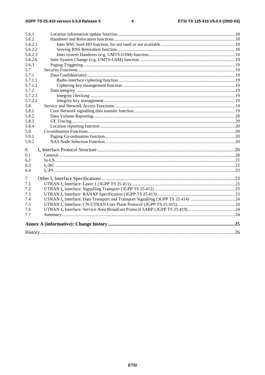| 5.6.1   |  |
|---------|--|
| 5.6.2   |  |
| 5.6.2.1 |  |
| 5.6.2.2 |  |
| 5.6.2.3 |  |
| 5.6.2A  |  |
| 5.6.3   |  |
| 5.7     |  |
| 5.7.1   |  |
| 5.7.1.1 |  |
| 5.7.1.2 |  |
| 5.7.2   |  |
| 5.7.2.1 |  |
| 5.7.2.2 |  |
| 5.8     |  |
| 5.8.1   |  |
| 5.8.2   |  |
| 5.8.3   |  |
| 5.8.4   |  |
| 5.9     |  |
| 5.9.1   |  |
| 5.9.2   |  |
| 6       |  |
| 6.1     |  |
| 6.2     |  |
| 6.3     |  |
| 6.4     |  |
| 7       |  |
| 7.1     |  |
| 7.2     |  |
| 7.3     |  |
| 7.4     |  |
| 7.5     |  |
| 7.6     |  |
| 7.7     |  |
|         |  |
|         |  |
|         |  |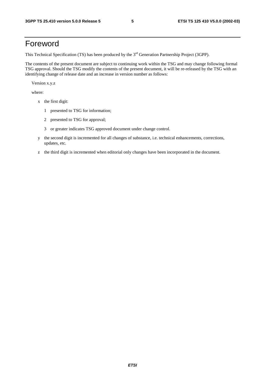# Foreword

This Technical Specification (TS) has been produced by the 3<sup>rd</sup> Generation Partnership Project (3GPP).

The contents of the present document are subject to continuing work within the TSG and may change following formal TSG approval. Should the TSG modify the contents of the present document, it will be re-released by the TSG with an identifying change of release date and an increase in version number as follows:

Version x.y.z

where:

- x the first digit:
	- 1 presented to TSG for information;
	- 2 presented to TSG for approval;
	- 3 or greater indicates TSG approved document under change control.
- y the second digit is incremented for all changes of substance, i.e. technical enhancements, corrections, updates, etc.
- z the third digit is incremented when editorial only changes have been incorporated in the document.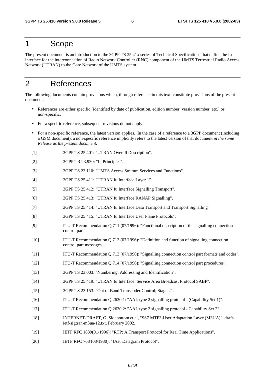### 1 Scope

The present document is an introduction to the 3GPP TS 25.41x series of Technical Specifications that define the Iu interface for the interconnection of Radio Network Controller (RNC) component of the UMTS Terrestrial Radio Access Network (UTRAN) to the Core Network of the UMTS system.

# 2 References

The following documents contain provisions which, through reference in this text, constitute provisions of the present document.

- References are either specific (identified by date of publication, edition number, version number, etc.) or non-specific.
- For a specific reference, subsequent revisions do not apply.
- For a non-specific reference, the latest version applies. In the case of a reference to a 3GPP document (including a GSM document), a non-specific reference implicitly refers to the latest version of that document *in the same Release as the present document*.
- [1] 3GPP TS 25.401: "UTRAN Overall Description".
- [2] 3GPP TR 23.930: "Iu Principles".
- [3] 3GPP TS 23.110: "UMTS Access Stratum Services and Functions".
- [4] 3GPP TS 25.411: "UTRAN Iu Interface Layer 1".
- [5] 3GPP TS 25.412: "UTRAN Iu Interface Signalling Transport".
- [6] 3GPP TS 25.413: "UTRAN Iu Interface RANAP Signalling".
- [7] 3GPP TS 25.414: "UTRAN Iu Interface Data Transport and Transport Signalling"
- [8] 3GPP TS 25.415: "UTRAN Iu Interface User Plane Protocols".
- [9] ITU-T Recommendation Q.711 (07/1996): "Functional description of the signalling connection control part".
- [10] ITU-T Recommendation Q.712 (07/1996): "Definition and function of signalling connection control part messages".
- [11] ITU-T Recommendation Q.713 (07/1996): "Signalling connection control part formats and codes".
- [12] ITU-T Recommendation Q.714 (07/1996): "Signalling connection control part procedures".
- [13] 3GPP TS 23.003: "Numbering, Addressing and Identification".
- [14] 3GPP TS 25.419: "UTRAN Iu Interface: Service Area Broadcast Protocol SABP".
- [15] 3GPP TS 23.153: "Out of Band Transcoder Control; Stage 2".
- [16] ITU-T Recommendation Q.2630.1: "AAL type 2 signalling protocol (Capability Set 1)".
- [17] ITU-T Recommendation Q.2630.2: "AAL type 2 signalling protocol Capability Set 2".
- [18] INTERNET-DRAFT, G. Sidebottom et al, "SS7 MTP3-User Adaptation Layer (M3UA)", draftietf-sigtran-m3ua-12.txt, February 2002.
- [19] IETF RFC 1889(01/1996): "RTP: A Transport Protocol for Real Time Applications".
- [20] IETF RFC 768 (08/1980): "User Datagram Protocol".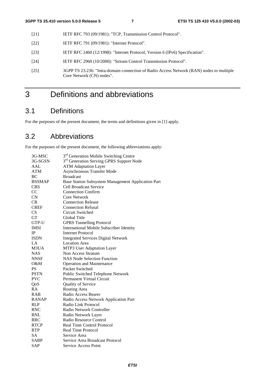- [21] **IETF RFC 793 (09/1981): "TCP, Transmission Control Protocol".**
- [22] **IETF RFC 791 (09/1981): "Internet Protocol".**
- [23] IETF RFC 2460 (12/1998): "Internet Protocol, Version 6 (IPv6) Specification".
- [24] IETF RFC 2960 (10/2000): "Stream Control Transmission Protocol".
- [25] 3GPP TS 23.236: "Intra-domain connection of Radio Access Network (RAN) nodes to multiple Core Network (CN) nodes".

# 3 Definitions and abbreviations

# 3.1 Definitions

For the purposes of the present document, the terms and definitions given in [1] apply.

# 3.2 Abbreviations

For the purposes of the present document, the following abbreviations apply:

| 3G-MSC        | 3 <sup>rd</sup> Generation Mobile Switching Centre   |
|---------------|------------------------------------------------------|
| 3G-SGSN       | 3 <sup>rd</sup> Generation Serving GPRS Support Node |
| AAL           | <b>ATM Adaptation Layer</b>                          |
| <b>ATM</b>    | Asynchronous Transfer Mode                           |
| BC            | <b>Broadcast</b>                                     |
| <b>BSSMAP</b> | Base Station Subsystem Management Application Part   |
| <b>CBS</b>    | <b>Cell Broadcast Service</b>                        |
| CC            | <b>Connection Confirm</b>                            |
| CN            | <b>Core Network</b>                                  |
| CR            | <b>Connection Release</b>                            |
| <b>CREF</b>   | <b>Connection Refusal</b>                            |
| CS            | Circuit Switched                                     |
| <b>GT</b>     | Global Title                                         |
| GTP-U         | <b>GPRS</b> Tunnelling Protocol                      |
| <b>IMSI</b>   | <b>International Mobile Subscriber Identity</b>      |
| IP            | <b>Internet Protocol</b>                             |
| <b>ISDN</b>   | <b>Integrated Services Digital Network</b>           |
| LA            | <b>Location Area</b>                                 |
| M3UA          | MTP3 User Adaptation Layer                           |
| <b>NAS</b>    | Non Access Stratum                                   |
| <b>NNSF</b>   | <b>NAS Node Selection Function</b>                   |
| O&M           | <b>Operation and Maintenance</b>                     |
| <b>PS</b>     | Packet Switched                                      |
| <b>PSTN</b>   | Public Switched Telephone Network                    |
| <b>PVC</b>    | Permanent Virtual Circuit                            |
| QoS           | <b>Quality of Service</b>                            |
| RA            | Routing Area                                         |
| <b>RAB</b>    | Radio Access Bearer                                  |
| <b>RANAP</b>  | Radio Access Network Application Part                |
| <b>RLP</b>    | Radio Link Protocol                                  |
| <b>RNC</b>    | Radio Network Controller                             |
| <b>RNL</b>    | Radio Network Layer                                  |
| <b>RRC</b>    | Radio Resource Control                               |
| <b>RTCP</b>   | <b>Real Time Control Protocol</b>                    |
| <b>RTP</b>    | <b>Real Time Protocol</b>                            |
| <b>SA</b>     | Service Area                                         |
| <b>SABP</b>   | Service Area Broadcast Protocol                      |
| <b>SAP</b>    | <b>Service Access Point</b>                          |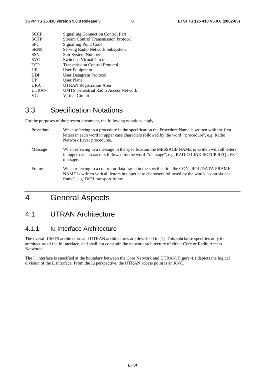| <b>Signalling Connection Control Part</b>    |
|----------------------------------------------|
| <b>Stream Control Transmission Protocol</b>  |
| <b>Signalling Point Code</b>                 |
| Serving Radio Network Subsystem              |
| Sub-System Number                            |
| Switched Virtual Circuit                     |
| <b>Transmission Control Protocol</b>         |
| User Equipment                               |
| <b>User Datagram Protocol</b>                |
| User Plane                                   |
| <b>UTRAN Registration Area</b>               |
| <b>UMTS Terrestrial Radio Access Network</b> |
| Virtual Circuit                              |
|                                              |

# 3.3 Specification Notations

For the purposes of the present document, the following notations apply:

| Procedure | When referring to a procedure in the specification the Procedure Name is written with the first<br>letters in each word in upper case characters followed by the word "procedure", e.g. Radio<br>Network Layer procedures.   |
|-----------|------------------------------------------------------------------------------------------------------------------------------------------------------------------------------------------------------------------------------|
| Message   | When referring to a message in the specification the MESSAGE NAME is written with all letters<br>in upper case characters followed by the word "message", e.g. RADIO LINK SETUP REQUEST<br>message.                          |
| Frame     | When referring to a control or data frame in the specification the CONTROL/DATA FRAME<br>NAME is written with all letters in upper case characters followed by the words "control/data"<br>frame", e.g. DCH transport frame. |

# 4 General Aspects

## 4.1 UTRAN Architecture

### 4.1.1 Iu Interface Architecture

The overall UMTS architecture and UTRAN architectures are described in [1]. This subclause specifies only the architecture of the Iu interface, and shall not constrain the network architecture of either Core or Radio Access Networks.

The I<sub>u</sub> interface is specified at the boundary between the Core Network and UTRAN. Figure 4.1 depicts the logical division of the  $I<sub>u</sub>$  interface. From the Iu perspective, the UTRAN access point is an RNC.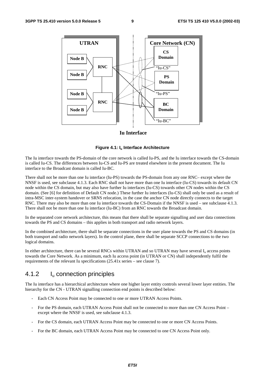

#### **Iu Interface**

#### **Figure 4.1: Iu Interface Architecture**

The Iu interface towards the PS-domain of the core network is called Iu-PS, and the Iu interface towards the CS-domain is called Iu-CS. The differences between Iu-CS and Iu-PS are treated elsewhere in the present document. The Iu interface to the Broadcast domain is called Iu-BC.

There shall not be more than one Iu interface (Iu-PS) towards the PS-domain from any one RNC– except where the NNSF is used, see subclause 4.1.3. Each RNC shall not have more than one Iu interface (Iu-CS) towards its default CN node within the CS domain, but may also have further Iu interfaces (Iu-CS) towards other CN nodes within the CS domain. (See [6] for definition of Default CN node.) These further Iu interfaces (Iu-CS) shall only be used as a result of intra-MSC inter-system handover or SRNS relocation, in the case the anchor CN node directly connects to the target RNC. There may also be more than one Iu interface towards the CS-Domain if the NNSF is used – see subclause 4.1.3. There shall not be more than one Iu interface (Iu-BC) from an RNC towards the Broadcast domain.

In the separated core network architecture, this means that there shall be separate signalling and user data connections towards the PS and CS domains – this applies in both transport and radio network layers.

In the combined architecture, there shall be separate connections in the user plane towards the PS and CS domains (in both transport and radio network layers). In the control plane, there shall be separate SCCP connections to the two logical domains.

In either architecture, there can be several RNCs within UTRAN and so UTRAN may have several  $I_u$  access points towards the Core Network. As a minimum, each Iu access point (in UTRAN or CN) shall independently fulfil the requirements of the relevant Iu specifications (25.41x series – see clause 7).

#### 4.1.2 Iu connection principles

The Iu interface has a hierarchical architecture where one higher layer entity controls several lower layer entities. The hierarchy for the CN - UTRAN signalling connection end points is described below:

- Each CN Access Point may be connected to one or more UTRAN Access Points.
- For the PS domain, each UTRAN Access Point shall not be connected to more than one CN Access Point except where the NNSF is used, see subclause 4.1.3.
- For the CS domain, each UTRAN Access Point may be connected to one or more CN Access Points.
- For the BC domain, each UTRAN Access Point may be connected to one CN Access Point only.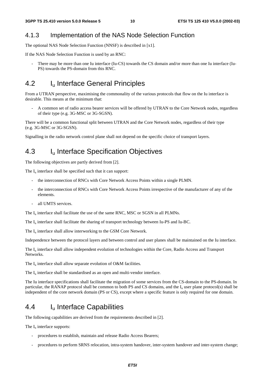### 4.1.3 Implementation of the NAS Node Selection Function

The optional NAS Node Selection Function (NNSF) is described in [x1].

If the NAS Node Selection Function is used by an RNC:

There may be more than one Iu interface (Iu-CS) towards the CS domain and/or more than one Iu interface (Iu-PS) towards the PS-domain from this RNC.

# 4.2 I<sub>u</sub> Interface General Principles

From a UTRAN perspective, maximising the commonality of the various protocols that flow on the Iu interface is desirable. This means at the minimum that:

- A common set of radio access bearer services will be offered by UTRAN to the Core Network nodes, regardless of their type (e.g. 3G-MSC or 3G-SGSN).

There will be a common functional split between UTRAN and the Core Network nodes, regardless of their type (e.g. 3G-MSC or 3G-SGSN).

Signalling in the radio network control plane shall not depend on the specific choice of transport layers.

### 4.3 I<sub>u</sub> Interface Specification Objectives

The following objectives are partly derived from [2].

The  $I<sub>u</sub>$  interface shall be specified such that it can support:

- the interconnection of RNCs with Core Network Access Points within a single PLMN.
- the interconnection of RNCs with Core Network Access Points irrespective of the manufacturer of any of the elements.
- all UMTS services.

The  $I_{\text{u}}$  interface shall facilitate the use of the same RNC, MSC or SGSN in all PLMNs.

The Iu interface shall facilitate the sharing of transport technology between Iu-PS and Iu-BC.

The  $I_u$  interface shall allow interworking to the GSM Core Network.

Independence between the protocol layers and between control and user planes shall be maintained on the Iu interface.

The  $I_{\text{u}}$  interface shall allow independent evolution of technologies within the Core, Radio Access and Transport Networks.

The  $I_u$  interface shall allow separate evolution of O&M facilities.

The  $I_{\nu}$  interface shall be standardised as an open and multi-vendor interface.

The Iu interface specifications shall facilitate the migration of some services from the CS-domain to the PS-domain. In particular, the RANAP protocol shall be common to both PS and CS domains, and the  $I<sub>u</sub>$  user plane protocol(s) shall be independent of the core network domain (PS or CS), except where a specific feature is only required for one domain.

### 4.4 Iu Interface Capabilities

The following capabilities are derived from the requirements described in [2].

The  $I_{\text{u}}$  interface supports:

- procedures to establish, maintain and release Radio Access Bearers;
- procedures to perform SRNS relocation, intra-system handover, inter-system handover and inter-system change;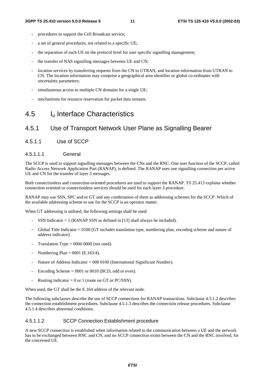- procedures to support the Cell Broadcast service;
- a set of general procedures, not related to a specific UE;
- the separation of each UE on the protocol level for user specific signalling management;
- the transfer of NAS signalling messages between UE and CN;
- location services by transferring requests from the CN to UTRAN, and location information from UTRAN to CN. The location information may comprise a geographical area identifier or global co-ordinates with uncertainty parameters;
- simultaneous access to multiple CN domains for a single UE;
- mechanisms for resource reservation for packet data streams.

### 4.5 Iu Interface Characteristics

### 4.5.1 Use of Transport Network User Plane as Signalling Bearer

4.5.1.1 Use of SCCP

#### 4.5.1.1.1 General

The SCCP is used to support signalling messages between the CNs and the RNC. One user function of the SCCP, called Radio Access Network Application Part (RANAP), is defined. The RANAP uses one signalling connection per active UE and CN for the transfer of layer 3 messages.

Both connectionless and connection-oriented procedures are used to support the RANAP. TS 25.413 explains whether connection oriented or connectionless services should be used for each layer 3 procedure.

RANAP may use SSN, SPC and/or GT and any combination of them as addressing schemes for the SCCP. Which of the available addressing scheme to use for the SCCP is an operator matter.

When GT addressing is utilised, the following settings shall be used:

- SSN Indicator  $= 1$  (RANAP SSN as defined in [13] shall always be included).
- Global Title Indicator  $= 0100$  (GT includes translation type, numbering plan, encoding scheme and nature of address indicator).
- Translation Type =  $0000 0000$  (not used).
- Numbering Plan =  $0001$  (E.163/4).
- Nature of Address Indicator = 000 0100 (International Significant Number).
- Encoding Scheme  $= 0001$  or 0010 (BCD, odd or even).
- Routing indicator = 0 or 1 (route on GT or PC/SSN).

When used, the GT shall be the E.164 address of the relevant node.

The following subclauses describe the use of SCCP connections for RANAP transactions. Subclause 4.5.1.2 describes the connection establishment procedures. Subclause 4.5.1.3 describes the connection release procedures. Subclause 4.5.1.4 describes abnormal conditions.

#### 4.5.1.1.2 SCCP Connection Establishment procedure

A new SCCP connection is established when information related to the communication between a UE and the network has to be exchanged between RNC and CN, and no SCCP connection exists between the CN and the RNC involved, for the concerned UE.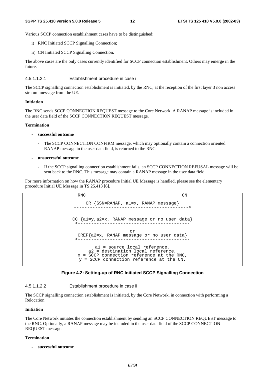Various SCCP connection establishment cases have to be distinguished:

- i) RNC Initiated SCCP Signalling Connection;
- ii) CN Initiated SCCP Signalling Connection.

The above cases are the only cases currently identified for SCCP connection establishment. Others may emerge in the future.

4.5.1.1.2.1 Establishment procedure in case i

The SCCP signalling connection establishment is initiated, by the RNC, at the reception of the first layer 3 non access stratum message from the UE.

#### **Initiation**

The RNC sends SCCP CONNECTION REQUEST message to the Core Network. A RANAP message is included in the user data field of the SCCP CONNECTION REQUEST message.

#### **Termination**

- **successful outcome**
	- The SCCP CONNECTION CONFIRM message, which may optionally contain a connection oriented RANAP message in the user data field, is returned to the RNC.
- **unsuccessful outcome**
	- If the SCCP signalling connection establishment fails, an SCCP CONNECTION REFUSAL message will be sent back to the RNC. This message may contain a RANAP message in the user data field.

For more information on how the RANAP procedure Initial UE Message is handled, please see the elementary procedure Initial UE Message in TS 25.413 [6].

RNC CN  $CR {SSN=RANAP, al=x, RANAP message}$ CC {a1=y,a2=x, RANAP message or no user data} <----------------------------------------- or CREF{a2=x, RANAP message or no user data} <----------------------------------------- a1 = source local reference, a2 = destination local reference,  $x =$  SCCP connection reference at the RNC, y = SCCP connection reference at the CN.

#### **Figure 4.2: Setting-up of RNC Initiated SCCP Signalling Connection**

4.5.1.1.2.2 Establishment procedure in case ii

The SCCP signalling connection establishment is initiated, by the Core Network, in connection with performing a Relocation.

#### **Initiation**

The Core Network initiates the connection establishment by sending an SCCP CONNECTION REQUEST message to the RNC. Optionally, a RANAP message may be included in the user data field of the SCCP CONNECTION REQUEST message.

#### **Termination**

**- successful outcome**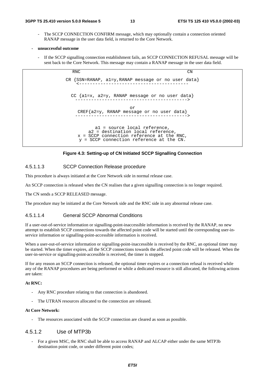- The SCCP CONNECTION CONFIRM message, which may optionally contain a connection oriented RANAP message in the user data field, is returned to the Core Network.
- **unsuccessful outcome**
	- If the SCCP signalling connection establishment fails, an SCCP CONNECTION REFUSAL message will be sent back to the Core Network. This message may contain a RANAP message in the user data field.

RNC CN CR {SSN=RANAP, a1=y,RANAP message or no user data} <----------------------------------------- CC {a1=x, a2=y, RANAP message or no user data} ------------------------------------------> or CREF{a2=y, RANAP message or no user data} ------------------------------------------> a1 = source local reference, a2 = destination local reference, x = SCCP connection reference at the RNC, y = SCCP connection reference at the CN.

#### **Figure 4.3: Setting-up of CN Initiated SCCP Signalling Connection**

#### 4.5.1.1.3 SCCP Connection Release procedure

This procedure is always initiated at the Core Network side in normal release case.

An SCCP connection is released when the CN realises that a given signalling connection is no longer required.

The CN sends a SCCP RELEASED message.

The procedure may be initiated at the Core Network side and the RNC side in any abnormal release case.

#### 4.5.1.1.4 General SCCP Abnormal Conditions

If a user-out-of-service information or signalling-point-inaccessible information is received by the RANAP, no new attempt to establish SCCP connections towards the affected point code will be started until the corresponding user-inservice information or signalling-point-accessible information is received.

When a user-out-of-service information or signalling-point-inaccessible is received by the RNC, an optional timer may be started. When the timer expires, all the SCCP connections towards the affected point code will be released. When the user-in-service or signalling-point-accessible is received, the timer is stopped.

If for any reason an SCCP connection is released, the optional timer expires or a connection refusal is received while any of the RANAP procedures are being performed or while a dedicated resource is still allocated, the following actions are taken:

#### **At RNC:**

- Any RNC procedure relating to that connection is abandoned.
- The UTRAN resources allocated to the connection are released.

#### **At Core Network:**

The resources associated with the SCCP connection are cleared as soon as possible.

#### 4.5.1.2 Use of MTP3b

For a given MSC, the RNC shall be able to access RANAP and ALCAP either under the same MTP3b destination point code, or under different point codes;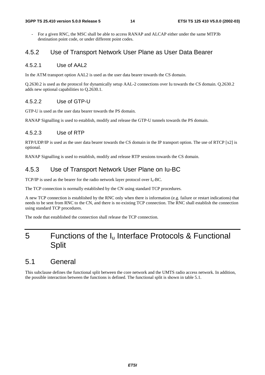#### **3GPP TS 25.410 version 5.0.0 Release 5 14 ETSI TS 125 410 V5.0.0 (2002-03)**

For a given RNC, the MSC shall be able to access RANAP and ALCAP either under the same MTP3b destination point code, or under different point codes.

### 4.5.2 Use of Transport Network User Plane as User Data Bearer

#### 4.5.2.1 Use of AAL2

In the ATM transport option AAL2 is used as the user data bearer towards the CS domain.

Q.2630.2 is used as the protocol for dynamically setup AAL-2 connections over Iu towards the CS domain. Q.2630.2 adds new optional capabilities to Q.2630.1.

#### 4.5.2.2 Use of GTP-U

GTP-U is used as the user data bearer towards the PS domain.

RANAP Signalling is used to establish, modify and release the GTP-U tunnels towards the PS domain.

#### 4.5.2.3 Use of RTP

RTP/UDP/IP is used as the user data bearer towards the CS domain in the IP transport option. The use of RTCP [x2] is optional.

RANAP Signalling is used to establish, modify and release RTP sessions towards the CS domain.

### 4.5.3 Use of Transport Network User Plane on Iu-BC

TCP/IP is used as the bearer for the radio network layer protocol over  $I_u$ -BC.

The TCP connection is normally established by the CN using standard TCP procedures.

A new TCP connection is established by the RNC only when there is information (e.g. failure or restart indications) that needs to be sent from RNC to the CN, and there is no existing TCP connection. The RNC shall establish the connection using standard TCP procedures.

The node that established the connection shall release the TCP connection.

# 5 Functions of the  $I_u$  Interface Protocols & Functional **Split**

### 5.1 General

This subclause defines the functional split between the core network and the UMTS radio access network. In addition, the possible interaction between the functions is defined. The functional split is shown in table 5.1.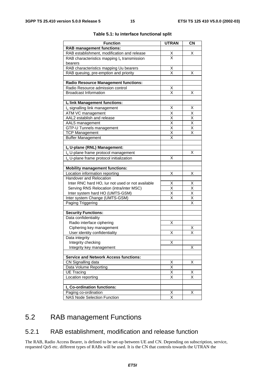| <b>Function</b>                                                                 | <b>UTRAN</b>                    | <b>CN</b>               |
|---------------------------------------------------------------------------------|---------------------------------|-------------------------|
| <b>RAB management functions:</b>                                                |                                 |                         |
| RAB establishment, modification and release                                     |                                 | х                       |
|                                                                                 | $\frac{\mathsf{X}}{\mathsf{X}}$ |                         |
| RAB characteristics mapping $I_u$ transmission                                  |                                 |                         |
| bearers                                                                         |                                 |                         |
| RAB characteristics mapping Uu bearers<br>RAB queuing, pre-emption and priority | $\frac{\mathsf{X}}{\mathsf{X}}$ | х                       |
|                                                                                 |                                 |                         |
| <b>Radio Resource Management functions:</b>                                     |                                 |                         |
| Radio Resource admission control                                                | X                               |                         |
| <b>Broadcast Information</b>                                                    | X                               | х                       |
|                                                                                 |                                 |                         |
| Iu link Management functions:                                                   |                                 |                         |
| I <sub>u</sub> signalling link management                                       | Х                               | х                       |
| ATM VC management                                                               | $\overline{\mathsf{x}}$         | $\overline{\mathsf{x}}$ |
| AAL2 establish and release                                                      | $\overline{\mathsf{x}}$         | $\overline{\mathsf{x}}$ |
| AAL5 management                                                                 | $\overline{\mathsf{x}}$         | $\overline{\mathsf{x}}$ |
| GTP-U Tunnels management                                                        | $\overline{\mathsf{x}}$         | $\overline{\mathsf{x}}$ |
| <b>TCP Management</b>                                                           | X                               | X                       |
| <b>Buffer Management</b>                                                        | X                               |                         |
|                                                                                 |                                 |                         |
| Iu U-plane (RNL) Management:                                                    |                                 |                         |
| I <sub>u</sub> U-plane frame protocol management                                |                                 | х                       |
| I <sub>u</sub> U-plane frame protocol initialization                            | X                               |                         |
|                                                                                 |                                 |                         |
| <b>Mobility management functions:</b>                                           |                                 |                         |
| Location information reporting                                                  | Χ                               | х                       |
| Handover and Relocation                                                         |                                 |                         |
| Inter RNC hard HO, lur not used or not available                                | Χ                               | X                       |
| Serving RNS Relocation (intra/inter MSC)                                        | $\overline{\mathsf{x}}$         | $\overline{\mathsf{x}}$ |
| Inter system hard HO (UMTS-GSM)                                                 | X                               | $\overline{\mathsf{x}}$ |
| Inter system Change (UMTS-GSM)                                                  | X                               | $\overline{\mathsf{x}}$ |
| Paging Triggering                                                               |                                 | X                       |
|                                                                                 |                                 |                         |
| <b>Security Functions:</b>                                                      |                                 |                         |
| Data confidentiality                                                            |                                 |                         |
| Radio interface ciphering                                                       | х                               |                         |
| Ciphering key management                                                        |                                 | х                       |
| User identity confidentiality                                                   | Χ                               | X                       |
| Data integrity                                                                  |                                 |                         |
| Integrity checking                                                              | X                               |                         |
| Integrity key management                                                        |                                 | X                       |
|                                                                                 |                                 |                         |
| <b>Service and Network Access functions:</b>                                    |                                 |                         |
| CN Signalling data                                                              | X                               | Χ                       |
| Data Volume Reporting                                                           | $\overline{\mathsf{x}}$         |                         |
| <b>UE Tracing</b>                                                               | X                               | X                       |
| Location reporting                                                              | Χ                               | X                       |
|                                                                                 |                                 |                         |
| I <sub>u</sub> Co-ordination functions:                                         |                                 |                         |
| Paging co-ordination                                                            | X                               | X                       |
| <b>NAS Node Selection Function</b>                                              | $\overline{\mathsf{x}}$         |                         |

#### **Table 5.1: Iu interface functional split**

# 5.2 RAB management Functions

### 5.2.1 RAB establishment, modification and release function

The RAB, Radio Access Bearer, is defined to be set-up between UE and CN. Depending on subscription, service, requested QoS etc. different types of RABs will be used. It is the CN that controls towards the UTRAN the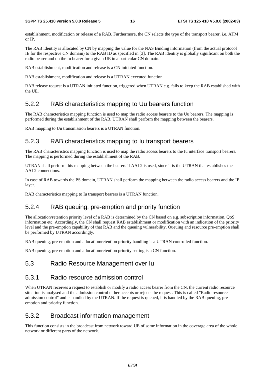establishment, modification or release of a RAB. Furthermore, the CN selects the type of the transport bearer, i.e. ATM or IP.

The RAB identity is allocated by CN by mapping the value for the NAS Binding information (from the actual protocol IE for the respective CN domain) to the RAB ID as specified in [3]. The RAB identity is globally significant on both the radio bearer and on the Iu bearer for a given UE in a particular CN domain.

RAB establishment, modification and release is a CN initiated function.

RAB establishment, modification and release is a UTRAN executed function.

RAB release request is a UTRAN initiated function, triggered when UTRAN e.g. fails to keep the RAB established with the UE.

### 5.2.2 RAB characteristics mapping to Uu bearers function

The RAB characteristics mapping function is used to map the radio access bearers to the Uu bearers. The mapping is performed during the establishment of the RAB. UTRAN shall perform the mapping between the bearers.

RAB mapping to Uu transmission bearers is a UTRAN function.

### 5.2.3 RAB characteristics mapping to Iu transport bearers

The RAB characteristics mapping function is used to map the radio access bearers to the Iu interface transport bearers. The mapping is performed during the establishment of the RAB.

UTRAN shall perform this mapping between the bearers if AAL2 is used, since it is the UTRAN that establishes the AAL2 connections.

In case of RAB towards the PS domain, UTRAN shall perform the mapping between the radio access bearers and the IP layer.

RAB characteristics mapping to Iu transport bearers is a UTRAN function.

### 5.2.4 RAB queuing, pre-emption and priority function

The allocation/retention priority level of a RAB is determined by the CN based on e.g. subscription information, QoS information etc. Accordingly, the CN shall request RAB establishment or modification with an indication of the priority level and the pre-emption capability of that RAB and the queuing vulnerability. Queuing and resource pre-emption shall be performed by UTRAN accordingly.

RAB queuing, pre-emption and allocation/retention priority handling is a UTRAN controlled function.

RAB queuing, pre-emption and allocation/retention priority setting is a CN function.

### 5.3 Radio Resource Management over Iu

#### 5.3.1 Radio resource admission control

When UTRAN receives a request to establish or modify a radio access bearer from the CN, the current radio resource situation is analysed and the admission control either accepts or rejects the request. This is called "Radio resource admission control" and is handled by the UTRAN. If the request is queued, it is handled by the RAB queuing, preemption and priority function.

### 5.3.2 Broadcast information management

This function consists in the broadcast from network toward UE of some information in the coverage area of the whole network or different parts of the network.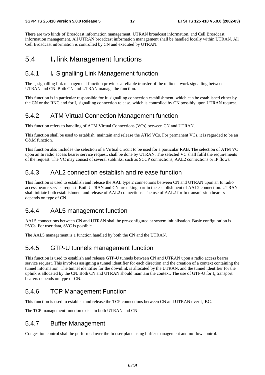There are two kinds of Broadcast information management. UTRAN broadcast information, and Cell Broadcast information management. All UTRAN broadcast information management shall be handled locally within UTRAN. All Cell Broadcast information is controlled by CN and executed by UTRAN.

## 5.4 Iu link Management functions

### 5.4.1 Iu Signalling Link Management function

The  $I<sub>u</sub>$  signalling link management function provides a reliable transfer of the radio network signalling between UTRAN and CN. Both CN and UTRAN manage the function.

This function is in particular responsible for Iu signalling connection establishment, which can be established either by the CN or the RNC and for I<sub>u</sub> signalling connection release, which is controlled by CN possibly upon UTRAN request.

### 5.4.2 ATM Virtual Connection Management function

This function refers to handling of ATM Virtual Connections (VCs) between CN and UTRAN.

This function shall be used to establish, maintain and release the ATM VCs. For permanent VCs, it is regarded to be an O&M function.

This function also includes the selection of a Virtual Circuit to be used for a particular RAB. The selection of ATM VC upon an Iu radio access bearer service request, shall be done by UTRAN. The selected VC shall fulfil the requirements of the request. The VC may consist of several sublinks: such as SCCP connections, AAL2 connections or IP flows.

### 5.4.3 AAL2 connection establish and release function

This function is used to establish and release the AAL type 2 connections between CN and UTRAN upon an Iu radio access bearer service request. Both UTRAN and CN are taking part in the establishment of AAL2 connection. UTRAN shall initiate both establishment and release of AAL2 connections. The use of AAL2 for Iu transmission bearers depends on type of CN.

### 5.4.4 AAL5 management function

AAL5 connections between CN and UTRAN shall be pre-configured at system initialisation. Basic configuration is PVCs. For user data, SVC is possible.

The AAL5 management is a function handled by both the CN and the UTRAN.

### 5.4.5 GTP-U tunnels management function

This function is used to establish and release GTP-U tunnels between CN and UTRAN upon a radio access bearer service request. This involves assigning a tunnel identifier for each direction and the creation of a context containing the tunnel information. The tunnel identifier for the downlink is allocated by the UTRAN, and the tunnel identifier for the uplink is allocated by the CN. Both CN and UTRAN should maintain the context. The use of GTP-U for I<sub>u</sub> transport bearers depends on type of CN.

### 5.4.6 TCP Management Function

This function is used to establish and release the TCP connections between CN and UTRAN over I<sub>u</sub>-BC.

The TCP management function exists in both UTRAN and CN.

### 5.4.7 Buffer Management

Congestion control shall be performed over the Iu user plane using buffer management and no flow control.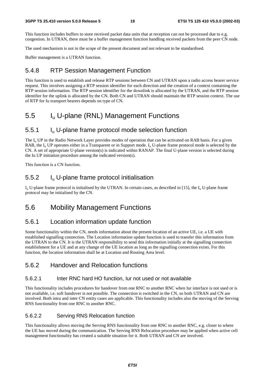This function includes buffers to store received packet data units that at reception can not be processed due to e.g. congestion. In UTRAN, there must be a buffer management function handling received packets from the peer CN node.

The used mechanism is not in the scope of the present document and not relevant to be standardised.

Buffer management is a UTRAN function.

#### 5.4.8 RTP Session Management Function

This function is used to establish and release RTP sessions between CN and UTRAN upon a radio access bearer service request. This involves assigning a RTP session identifier for each direction and the creation of a context containing the RTP session information. The RTP session identifier for the downlink is allocated by the UTRAN, and the RTP session identifier for the uplink is allocated by the CN. Both CN and UTRAN should maintain the RTP session context. The use of RTP for Iu transport bearers depends on type of CN.

### 5.5 Iu U-plane (RNL) Management Functions

### 5.5.1 Iu U-plane frame protocol mode selection function

The I<sub>u</sub> UP in the Radio Network Layer provides modes of operation that can be activated on RAB basis. For a given RAB, the  $I_{\text{u}}$  UP operates either in a Transparent or in Support mode.  $I_{\text{u}}$  U-plane frame protocol mode is selected by the CN. A set of appropriate U-plane version(s) is indicated within RANAP. The final U-plane version is selected during the Iu UP initiation procedure among the indicated version(s).

This function is a CN function.

### 5.5.2 Iu U-plane frame protocol initialisation

 $I_{u}$  U-plane frame protocol is initialised by the UTRAN. In certain cases, as described in [15], the  $I_{u}$  U-plane frame protocol may be initialised by the CN.

### 5.6 Mobility Management Functions

### 5.6.1 Location information update function

Some functionality within the CN, needs information about the present location of an active UE, i.e. a UE with established signalling connection. The Location information update function is used to transfer this information from the UTRAN to the CN. It is the UTRAN responsibility to send this information initially at the signalling connection establishment for a UE and at any change of the UE location as long as the signalling connection exists. For this function, the location information shall be at Location and Routing Area level.

#### 5.6.2 Handover and Relocation functions

#### 5.6.2.1 Inter RNC hard HO function, Iur not used or not available

This functionality includes procedures for handover from one RNC to another RNC when Iur interface is not used or is not available, i.e. soft handover is not possible. The connection is switched in the CN, so both UTRAN and CN are involved. Both intra and inter CN entity cases are applicable. This functionality includes also the moving of the Serving RNS functionality from one RNC to another RNC.

#### 5.6.2.2 Serving RNS Relocation function

This functionality allows moving the Serving RNS functionality from one RNC to another RNC, e.g. closer to where the UE has moved during the communication. The Serving RNS Relocation procedure may be applied when active cell management functionality has created a suitable situation for it. Both UTRAN and CN are involved.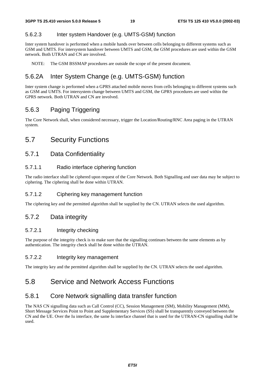#### 5.6.2.3 Inter system Handover (e.g. UMTS-GSM) function

Inter system handover is performed when a mobile hands over between cells belonging to different systems such as GSM and UMTS. For intersystem handover between UMTS and GSM, the GSM procedures are used within the GSM network. Both UTRAN and CN are involved.

NOTE: The GSM BSSMAP procedures are outside the scope of the present document.

### 5.6.2A Inter System Change (e.g. UMTS-GSM) function

Inter system change is performed when a GPRS attached mobile moves from cells belonging to different systems such as GSM and UMTS. For intersystem change between UMTS and GSM, the GPRS procedures are used within the GPRS network. Both UTRAN and CN are involved.

### 5.6.3 Paging Triggering

The Core Network shall, when considered necessary, trigger the Location/Routing/RNC Area paging in the UTRAN system.

### 5.7 Security Functions

### 5.7.1 Data Confidentiality

#### 5.7.1.1 Radio interface ciphering function

The radio interface shall be ciphered upon request of the Core Network. Both Signalling and user data may be subject to ciphering. The ciphering shall be done within UTRAN.

#### 5.7.1.2 Ciphering key management function

The ciphering key and the permitted algorithm shall be supplied by the CN. UTRAN selects the used algorithm.

### 5.7.2 Data integrity

#### 5.7.2.1 Integrity checking

The purpose of the integrity check is to make sure that the signalling continues between the same elements as by authentication. The integrity check shall be done within the UTRAN.

#### 5.7.2.2 Integrity key management

The integrity key and the permitted algorithm shall be supplied by the CN. UTRAN selects the used algorithm.

### 5.8 Service and Network Access Functions

### 5.8.1 Core Network signalling data transfer function

The NAS CN signalling data such as Call Control (CC), Session Management (SM), Mobility Management (MM), Short Message Services Point to Point and Supplementary Services (SS) shall be transparently conveyed between the CN and the UE. Over the Iu interface, the same Iu interface channel that is used for the UTRAN-CN signalling shall be used.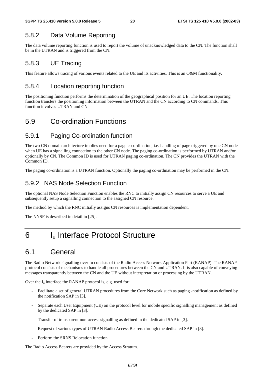### 5.8.2 Data Volume Reporting

The data volume reporting function is used to report the volume of unacknowledged data to the CN. The function shall be in the UTRAN and is triggered from the CN.

### 5.8.3 UE Tracing

This feature allows tracing of various events related to the UE and its activities. This is an O&M functionality.

### 5.8.4 Location reporting function

The positioning function performs the determination of the geographical position for an UE. The location reporting function transfers the positioning information between the UTRAN and the CN according to CN commands. This function involves UTRAN and CN.

# 5.9 Co-ordination Functions

### 5.9.1 Paging Co-ordination function

The two CN domain architecture implies need for a page co-ordination, i.e. handling of page triggered by one CN node when UE has a signalling connection to the other CN node. The paging co-ordination is performed by UTRAN and/or optionally by CN. The Common ID is used for UTRAN paging co-ordination. The CN provides the UTRAN with the Common ID.

The paging co-ordination is a UTRAN function. Optionally the paging co-ordination may be performed in the CN.

### 5.9.2 NAS Node Selection Function

The optional NAS Node Selection Function enables the RNC to initially assign CN resources to serve a UE and subsequently setup a signalling connection to the assigned CN resource.

The method by which the RNC initially assigns CN resources is implementation dependent.

The NNSF is described in detail in [25].

# 6 I<sub>u</sub> Interface Protocol Structure

# 6.1 General

The Radio Network signalling over Iu consists of the Radio Access Network Application Part (RANAP). The RANAP protocol consists of mechanisms to handle all procedures between the CN and UTRAN. It is also capable of conveying messages transparently between the CN and the UE without interpretation or processing by the UTRAN.

Over the  $I_u$  interface the RANAP protocol is, e.g. used for:

- Facilitate a set of general UTRAN procedures from the Core Network such as paging -notification as defined by the notification SAP in [3].
- Separate each User Equipment (UE) on the protocol level for mobile specific signalling management as defined by the dedicated SAP in [3].
- Transfer of transparent non-access signalling as defined in the dedicated SAP in [3].
- Request of various types of UTRAN Radio Access Bearers through the dedicated SAP in [3].
- Perform the SRNS Relocation function.

The Radio Access Bearers are provided by the Access Stratum.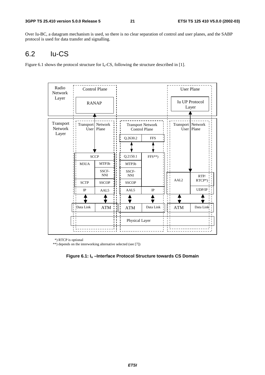Over Iu-BC, a datagram mechanism is used, so there is no clear separation of control and user planes, and the SABP protocol is used for data transfer and signalling.

# 6.2 Iu-CS

Figure 6.1 shows the protocol structure for  $I_u$ -CS, following the structure described in [1].

| Radio<br><b>Network</b> |                              | <b>Control Plane</b> |  |                     |                                                  |     | <b>User Plane</b>   |                                |
|-------------------------|------------------------------|----------------------|--|---------------------|--------------------------------------------------|-----|---------------------|--------------------------------|
| Layer                   | <b>RANAP</b>                 |                      |  |                     |                                                  |     |                     | <b>Iu UP Protocol</b><br>Layer |
| Transport<br>Network    | Transport Network            | User   Plane         |  |                     | <b>Transport Network</b><br><b>Control Plane</b> |     | Transport   Network | $\overline{U}$ ser   Plane     |
| Layer                   |                              |                      |  | Q.2630.2            | <b>FFS</b>                                       |     |                     |                                |
|                         |                              |                      |  |                     |                                                  |     |                     |                                |
|                         |                              | <b>SCCP</b>          |  | Q.2150.1            | $FFS**$                                          |     |                     |                                |
|                         | M3UA                         | MTP3b                |  | MTP3b               |                                                  |     |                     |                                |
|                         |                              | SSCF-<br><b>NNI</b>  |  | SSCF-<br><b>NNI</b> |                                                  |     |                     | RTP/                           |
|                         | <b>SCTP</b>                  | <b>SSCOP</b>         |  | <b>SSCOP</b>        |                                                  |     | AAL <sub>2</sub>    | RTCP*)                         |
|                         | $_{\text{IP}}$               | AAL5                 |  | AAL5                | IP                                               |     |                     | UDP/IP                         |
|                         |                              |                      |  |                     |                                                  |     |                     |                                |
|                         | Data Link<br>$\mathbf{I}$    | <b>ATM</b>           |  | <b>ATM</b>          | Data Link                                        |     | <b>ATM</b>          | Data Link                      |
|                         | $\mathbf{I}$<br>$\mathbf{1}$ |                      |  | Physical Layer      |                                                  | n I |                     |                                |
|                         |                              |                      |  |                     |                                                  |     |                     |                                |

\*) RTCP is optional

\*\*) depends on the interworking alternative selected (see [7])

**Figure 6.1: Iu –Interface Protocol Structure towards CS Domain**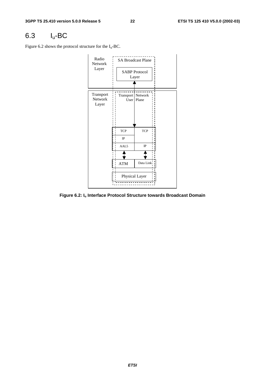# 6.3 Iu-BC

Figure 6.2 shows the protocol structure for the  $I_u$ -BC.



**Figure 6.2: Iu Interface Protocol Structure towards Broadcast Domain**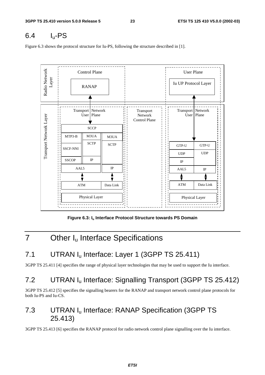# $6.4$  I<sub>u</sub>-PS

Figure 6.3 shows the protocol structure for Iu-PS, following the structure described in [1].



**Figure 6.3: Iu Interface Protocol Structure towards PS Domain**

# 7 Other I<sub>u</sub> Interface Specifications

# 7.1 UTRAN I<sub>u</sub> Interface: Layer 1 (3GPP TS 25.411)

3GPP TS 25.411 [4] specifies the range of physical layer technologies that may be used to support the Iu interface.

# 7.2 UTRAN I<sub>u</sub> Interface: Signalling Transport (3GPP TS 25.412)

3GPP TS 25.412 [5] specifies the signalling bearers for the RANAP and transport network control plane protocols for both Iu-PS and Iu-CS.

# 7.3 UTRAN I<sub>u</sub> Interface: RANAP Specification (3GPP TS 25.413)

3GPP TS 25.413 [6] specifies the RANAP protocol for radio network control plane signalling over the Iu interface.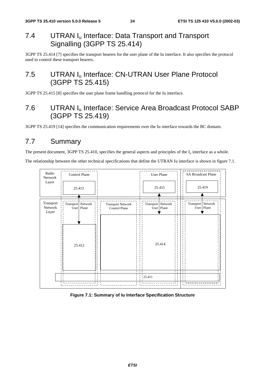# 7.4 UTRAN I<sub>u</sub> Interface: Data Transport and Transport Signalling (3GPP TS 25.414)

3GPP TS 25.414 [7] specifies the transport bearers for the user plane of the Iu interface. It also specifies the protocol used to control these transport bearers.

# 7.5 UTRAN I<sub>u</sub> Interface: CN-UTRAN User Plane Protocol (3GPP TS 25.415)

3GPP TS 25.415 [8] specifies the user plane frame handling protocol for the Iu interface.

# 7.6 UTRAN Iu Interface: Service Area Broadcast Protocol SABP (3GPP TS 25.419)

3GPP TS 25.419 [14] specifies the communication requirements over the Iu interface towards the BC domain.

# 7.7 Summary

The present document, 3GPP TS 25.410, specifies the general aspects and principles of the  $I_u$  interface as a whole.

The relationship between the other technical specifications that define the UTRAN Iu interface is shown in figure 7.1.



#### **Figure 7.1: Summary of Iu Interface Specification Structure**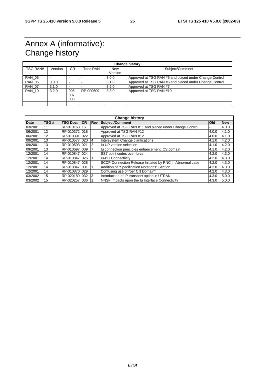# Annex A (informative): Change history

| <b>Change history</b> |         |                          |           |                       |                                                        |  |  |  |
|-----------------------|---------|--------------------------|-----------|-----------------------|--------------------------------------------------------|--|--|--|
| TSG RAN#              | Version | CR.                      | Tdoc RAN  | <b>New</b><br>Version | Subject/Comment                                        |  |  |  |
| <b>RAN 05</b>         |         |                          |           |                       |                                                        |  |  |  |
|                       |         | $\overline{\phantom{0}}$ |           | 3.0.0                 | Approved at TSG RAN #5 and placed under Change Control |  |  |  |
| <b>RAN 06</b>         | 3.0.0   | $\overline{\phantom{0}}$ |           | 3.1.0                 | Approved at TSG RAN #6 and placed under Change Control |  |  |  |
| <b>RAN 07</b>         | 3.1.0   | $\overline{\phantom{0}}$ |           | 3.2.0                 | Approved at TSG RAN #7                                 |  |  |  |
| <b>RAN 10</b>         | 3.2.0   | 005<br>007<br>800        | RP-000609 | 3.3.0                 | Approved at TSG RAN #10                                |  |  |  |
|                       |         |                          |           |                       |                                                        |  |  |  |

| <b>Change history</b> |      |                 |           |            |                                                           |       |            |  |  |
|-----------------------|------|-----------------|-----------|------------|-----------------------------------------------------------|-------|------------|--|--|
| <b>Date</b>           | TSG# | <b>TSG Doc.</b> | <b>CR</b> | <b>Rev</b> | Subject/Comment                                           | Old   | <b>New</b> |  |  |
| 03/2001               | 11   | RP-010163       | 15        |            | Approved at TSG RAN #11 and placed under Change Control   |       | 4.0.0      |  |  |
| 06/2001               | 12   | RP-010372 018   |           |            | Approved at TSG RAN #12                                   | 4.0.0 | 4.1.0      |  |  |
| 06/2001               | 12   | RP-010391 022   |           |            | Approved at TSG RAN #12                                   | 4.0.0 | 4.1.0      |  |  |
| 09/2001               | 13   | RP-010577 020   |           | 4          | Intersystem Change clarifications                         | 4.1.0 | 4.2.0      |  |  |
| 09/2001               | 13   | RP-010593 021   |           | 2          | Iu UP version selection                                   | 4.1.0 | 4.2.0      |  |  |
| 09/2001               | 13   | RP-0106971009   |           |            | Iu connection principles enhancement, CS domain           | 4.1.0 | 4.2.0      |  |  |
| 12/2001               | 14   | RP-010847 024   |           |            | SS7 point codes over lu-cs                                | 4.2.0 | 4.3.0      |  |  |
| 12/2001               | 14   | RP-0108471026   |           |            | <b>Iu-BC Connectivity</b>                                 | 4.2.0 | 4.3.0      |  |  |
| 12/2001               | 14   | RP-010847 028   |           |            | SCCP Connection Release Initiated by RNC in Abnormal case | 4.2.0 | 4.3.0      |  |  |
| 12/2001               | 14   | RP-010847 031   |           |            | Addition of "Specification Notations" Section             | 4.2.0 | 4.3.0      |  |  |
| 12/2001               | 14   | RP-010870 029   |           |            | Confusing use of "per CN Domain"                          | 4.2.0 | 4.3.0      |  |  |
| 03/2002               | 15   | RP-0201891032   |           | 3          | Introduction of IP transport option in UTRAN              | 4.3.0 | 5.0.0      |  |  |
| 03/2002               | 15   | RP-020257 036   |           |            | NNSF Impacts upon the Iu Interface Connectivity           | 4.3.0 | 5.0.0      |  |  |

**ETSI**